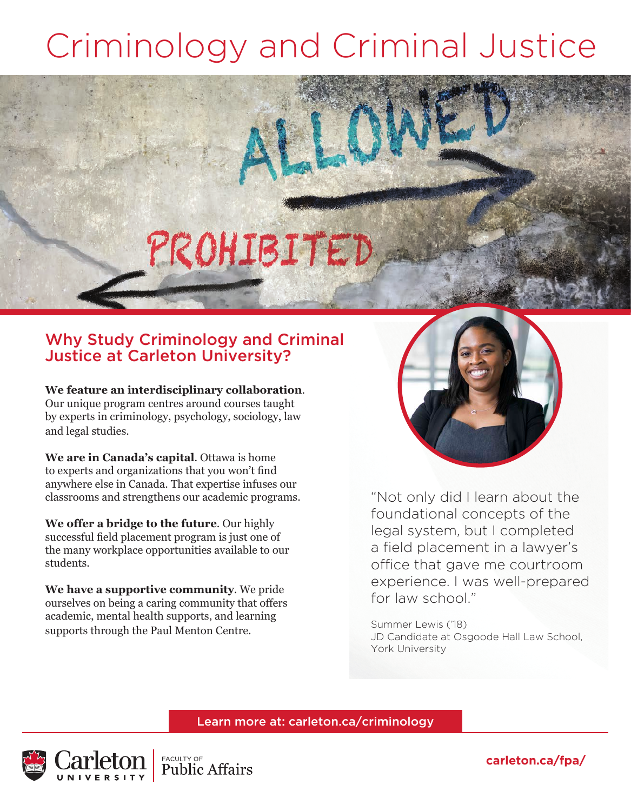### Criminology and Criminal Justice

# PROHIBITED

### Why Study Criminology and Criminal Justice at Carleton University?

**We feature an interdisciplinary collaboration**. Our unique program centres around courses taught by experts in criminology, psychology, sociology, law and legal studies.

**We are in Canada's capital**. Ottawa is home to experts and organizations that you won't find anywhere else in Canada. That expertise infuses our classrooms and strengthens our academic programs.

**We offer a bridge to the future**. Our highly successful field placement program is just one of the many workplace opportunities available to our students.

**We have a supportive community**. We pride ourselves on being a caring community that offers academic, mental health supports, and learning supports through the Paul Menton Centre.



"Not only did I learn about the foundational concepts of the legal system, but I completed a field placement in a lawyer's office that gave me courtroom experience. I was well-prepared for law school."

Summer Lewis ('18) JD Candidate at Osgoode Hall Law School, York University

#### Learn more at: carleton.ca/criminology



**carleton.ca/fpa/**